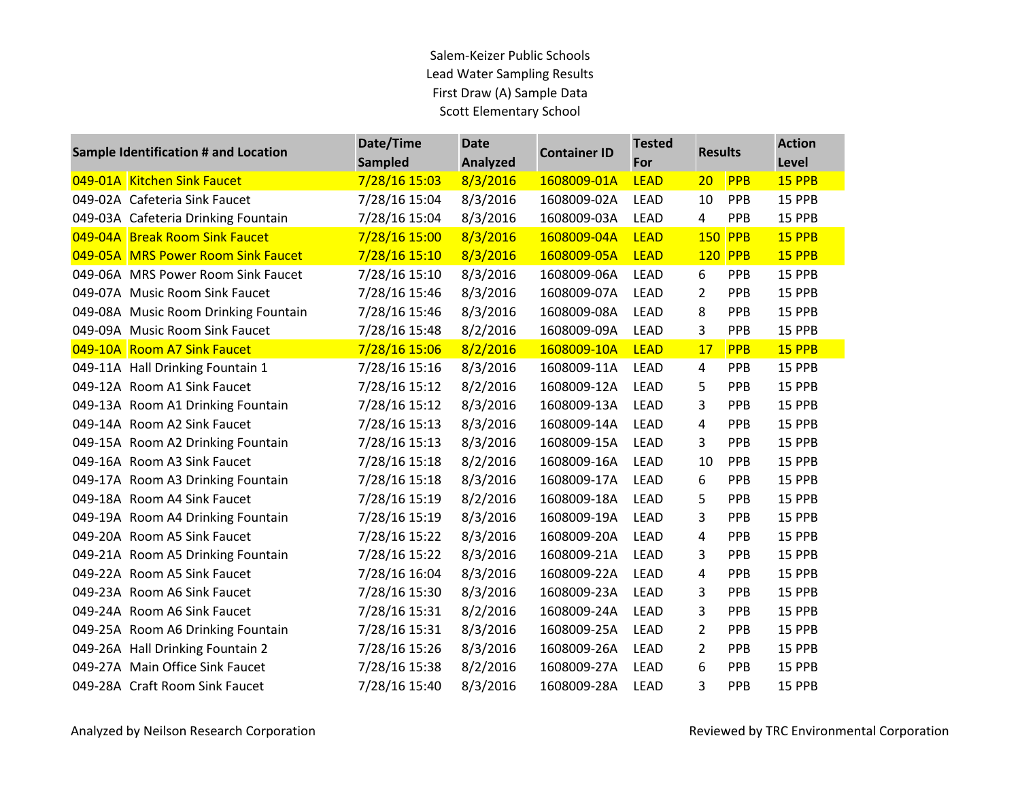| Sample Identification # and Location | Date/Time      | <b>Date</b> | <b>Container ID</b> | <b>Tested</b> | <b>Results</b> |                | <b>Action</b> |
|--------------------------------------|----------------|-------------|---------------------|---------------|----------------|----------------|---------------|
|                                      | <b>Sampled</b> | Analyzed    |                     | For           |                |                | Level         |
| 049-01A Kitchen Sink Faucet          | 7/28/16 15:03  | 8/3/2016    | 1608009-01A         | <b>LEAD</b>   | 20             | <b>PPB</b>     | 15 PPB        |
| 049-02A Cafeteria Sink Faucet        | 7/28/16 15:04  | 8/3/2016    | 1608009-02A         | <b>LEAD</b>   | 10             | PPB            | 15 PPB        |
| 049-03A Cafeteria Drinking Fountain  | 7/28/16 15:04  | 8/3/2016    | 1608009-03A         | <b>LEAD</b>   | 4              | <b>PPB</b>     | 15 PPB        |
| 049-04A Break Room Sink Faucet       | 7/28/16 15:00  | 8/3/2016    | 1608009-04A         | <b>LEAD</b>   |                | <b>150 PPB</b> | 15 PPB        |
| 049-05A MRS Power Room Sink Faucet   | 7/28/16 15:10  | 8/3/2016    | 1608009-05A         | <b>LEAD</b>   |                | <b>120 PPB</b> | 15 PPB        |
| 049-06A MRS Power Room Sink Faucet   | 7/28/16 15:10  | 8/3/2016    | 1608009-06A         | <b>LEAD</b>   | 6              | <b>PPB</b>     | 15 PPB        |
| 049-07A Music Room Sink Faucet       | 7/28/16 15:46  | 8/3/2016    | 1608009-07A         | LEAD          | $\overline{2}$ | PPB            | 15 PPB        |
| 049-08A Music Room Drinking Fountain | 7/28/16 15:46  | 8/3/2016    | 1608009-08A         | <b>LEAD</b>   | 8              | PPB            | 15 PPB        |
| 049-09A Music Room Sink Faucet       | 7/28/16 15:48  | 8/2/2016    | 1608009-09A         | <b>LEAD</b>   | 3              | <b>PPB</b>     | 15 PPB        |
| 049-10A Room A7 Sink Faucet          | 7/28/16 15:06  | 8/2/2016    | 1608009-10A         | <b>LEAD</b>   | 17             | <b>PPB</b>     | 15 PPB        |
| 049-11A Hall Drinking Fountain 1     | 7/28/16 15:16  | 8/3/2016    | 1608009-11A         | <b>LEAD</b>   | $\overline{4}$ | <b>PPB</b>     | 15 PPB        |
| 049-12A Room A1 Sink Faucet          | 7/28/16 15:12  | 8/2/2016    | 1608009-12A         | LEAD          | 5              | PPB            | 15 PPB        |
| 049-13A Room A1 Drinking Fountain    | 7/28/16 15:12  | 8/3/2016    | 1608009-13A         | <b>LEAD</b>   | 3              | <b>PPB</b>     | 15 PPB        |
| 049-14A Room A2 Sink Faucet          | 7/28/16 15:13  | 8/3/2016    | 1608009-14A         | <b>LEAD</b>   | 4              | <b>PPB</b>     | 15 PPB        |
| 049-15A Room A2 Drinking Fountain    | 7/28/16 15:13  | 8/3/2016    | 1608009-15A         | LEAD          | 3              | PPB            | 15 PPB        |
| 049-16A Room A3 Sink Faucet          | 7/28/16 15:18  | 8/2/2016    | 1608009-16A         | LEAD          | 10             | PPB            | 15 PPB        |
| 049-17A Room A3 Drinking Fountain    | 7/28/16 15:18  | 8/3/2016    | 1608009-17A         | <b>LEAD</b>   | 6              | <b>PPB</b>     | 15 PPB        |
| 049-18A Room A4 Sink Faucet          | 7/28/16 15:19  | 8/2/2016    | 1608009-18A         | <b>LEAD</b>   | 5              | PPB            | 15 PPB        |
| 049-19A Room A4 Drinking Fountain    | 7/28/16 15:19  | 8/3/2016    | 1608009-19A         | LEAD          | 3              | <b>PPB</b>     | 15 PPB        |
| 049-20A Room A5 Sink Faucet          | 7/28/16 15:22  | 8/3/2016    | 1608009-20A         | <b>LEAD</b>   | 4              | PPB            | 15 PPB        |
| 049-21A Room A5 Drinking Fountain    | 7/28/16 15:22  | 8/3/2016    | 1608009-21A         | LEAD          | 3              | <b>PPB</b>     | 15 PPB        |
| 049-22A Room A5 Sink Faucet          | 7/28/16 16:04  | 8/3/2016    | 1608009-22A         | <b>LEAD</b>   | 4              | <b>PPB</b>     | 15 PPB        |
| 049-23A Room A6 Sink Faucet          | 7/28/16 15:30  | 8/3/2016    | 1608009-23A         | LEAD          | 3              | PPB            | 15 PPB        |
| 049-24A Room A6 Sink Faucet          | 7/28/16 15:31  | 8/2/2016    | 1608009-24A         | LEAD          | 3              | <b>PPB</b>     | 15 PPB        |
| 049-25A Room A6 Drinking Fountain    | 7/28/16 15:31  | 8/3/2016    | 1608009-25A         | <b>LEAD</b>   | 2              | PPB            | 15 PPB        |
| 049-26A Hall Drinking Fountain 2     | 7/28/16 15:26  | 8/3/2016    | 1608009-26A         | <b>LEAD</b>   | $\overline{2}$ | PPB            | 15 PPB        |
| 049-27A Main Office Sink Faucet      | 7/28/16 15:38  | 8/2/2016    | 1608009-27A         | <b>LEAD</b>   | 6              | <b>PPB</b>     | 15 PPB        |
| 049-28A Craft Room Sink Faucet       | 7/28/16 15:40  | 8/3/2016    | 1608009-28A         | <b>LEAD</b>   | 3              | PPB            | 15 PPB        |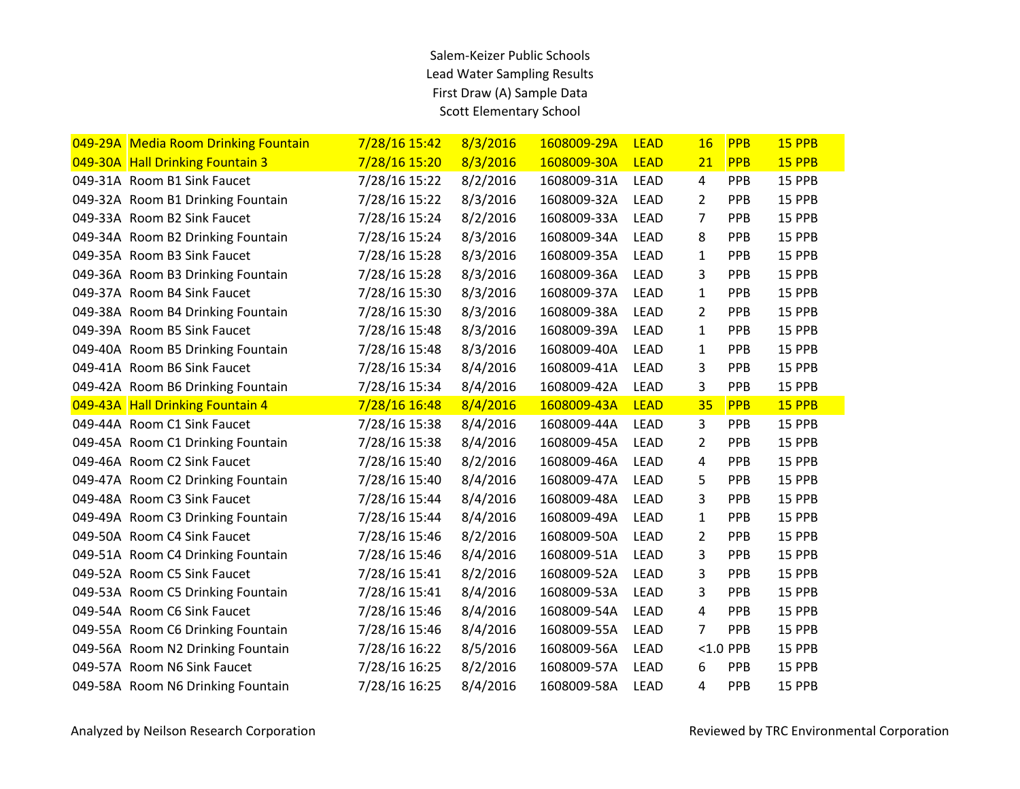| 049-29A Media Room Drinking Fountain | 7/28/16 15:42 | 8/3/2016 | 1608009-29A | <b>LEAD</b> | 16             | <b>PPB</b>  | 15 PPB |
|--------------------------------------|---------------|----------|-------------|-------------|----------------|-------------|--------|
| 049-30A Hall Drinking Fountain 3     | 7/28/16 15:20 | 8/3/2016 | 1608009-30A | <b>LEAD</b> | 21             | <b>PPB</b>  | 15 PPB |
| 049-31A Room B1 Sink Faucet          | 7/28/16 15:22 | 8/2/2016 | 1608009-31A | <b>LEAD</b> | $\overline{4}$ | PPB         | 15 PPB |
| 049-32A Room B1 Drinking Fountain    | 7/28/16 15:22 | 8/3/2016 | 1608009-32A | <b>LEAD</b> | $\overline{2}$ | PPB         | 15 PPB |
| 049-33A Room B2 Sink Faucet          | 7/28/16 15:24 | 8/2/2016 | 1608009-33A | <b>LEAD</b> | 7              | PPB         | 15 PPB |
| 049-34A Room B2 Drinking Fountain    | 7/28/16 15:24 | 8/3/2016 | 1608009-34A | LEAD        | 8              | PPB         | 15 PPB |
| 049-35A Room B3 Sink Faucet          | 7/28/16 15:28 | 8/3/2016 | 1608009-35A | <b>LEAD</b> | 1              | PPB         | 15 PPB |
| 049-36A Room B3 Drinking Fountain    | 7/28/16 15:28 | 8/3/2016 | 1608009-36A | <b>LEAD</b> | 3              | PPB         | 15 PPB |
| 049-37A Room B4 Sink Faucet          | 7/28/16 15:30 | 8/3/2016 | 1608009-37A | <b>LEAD</b> | 1              | PPB         | 15 PPB |
| 049-38A Room B4 Drinking Fountain    | 7/28/16 15:30 | 8/3/2016 | 1608009-38A | LEAD        | $\overline{2}$ | PPB         | 15 PPB |
| 049-39A Room B5 Sink Faucet          | 7/28/16 15:48 | 8/3/2016 | 1608009-39A | <b>LEAD</b> | 1              | PPB         | 15 PPB |
| 049-40A Room B5 Drinking Fountain    | 7/28/16 15:48 | 8/3/2016 | 1608009-40A | <b>LEAD</b> | 1              | PPB         | 15 PPB |
| 049-41A Room B6 Sink Faucet          | 7/28/16 15:34 | 8/4/2016 | 1608009-41A | LEAD        | 3              | PPB         | 15 PPB |
| 049-42A Room B6 Drinking Fountain    | 7/28/16 15:34 | 8/4/2016 | 1608009-42A | <b>LEAD</b> | 3              | PPB         | 15 PPB |
| 049-43A Hall Drinking Fountain 4     | 7/28/16 16:48 | 8/4/2016 | 1608009-43A | <b>LEAD</b> | 35             | <b>PPB</b>  | 15 PPB |
|                                      |               |          |             |             |                |             |        |
| 049-44A Room C1 Sink Faucet          | 7/28/16 15:38 | 8/4/2016 | 1608009-44A | <b>LEAD</b> | 3              | PPB         | 15 PPB |
| 049-45A Room C1 Drinking Fountain    | 7/28/16 15:38 | 8/4/2016 | 1608009-45A | <b>LEAD</b> | 2              | PPB         | 15 PPB |
| 049-46A Room C2 Sink Faucet          | 7/28/16 15:40 | 8/2/2016 | 1608009-46A | LEAD        | 4              | PPB         | 15 PPB |
| 049-47A Room C2 Drinking Fountain    | 7/28/16 15:40 | 8/4/2016 | 1608009-47A | <b>LEAD</b> | 5              | PPB         | 15 PPB |
| 049-48A Room C3 Sink Faucet          | 7/28/16 15:44 | 8/4/2016 | 1608009-48A | <b>LEAD</b> | 3              | PPB         | 15 PPB |
| 049-49A Room C3 Drinking Fountain    | 7/28/16 15:44 | 8/4/2016 | 1608009-49A | LEAD        | 1              | PPB         | 15 PPB |
| 049-50A Room C4 Sink Faucet          | 7/28/16 15:46 | 8/2/2016 | 1608009-50A | <b>LEAD</b> | $\overline{2}$ | PPB         | 15 PPB |
| 049-51A Room C4 Drinking Fountain    | 7/28/16 15:46 | 8/4/2016 | 1608009-51A | <b>LEAD</b> | 3              | PPB         | 15 PPB |
| 049-52A Room C5 Sink Faucet          | 7/28/16 15:41 | 8/2/2016 | 1608009-52A | <b>LEAD</b> | 3              | PPB         | 15 PPB |
| 049-53A Room C5 Drinking Fountain    | 7/28/16 15:41 | 8/4/2016 | 1608009-53A | LEAD        | 3              | PPB         | 15 PPB |
| 049-54A Room C6 Sink Faucet          | 7/28/16 15:46 | 8/4/2016 | 1608009-54A | LEAD        | 4              | PPB         | 15 PPB |
| 049-55A Room C6 Drinking Fountain    | 7/28/16 15:46 | 8/4/2016 | 1608009-55A | <b>LEAD</b> | 7              | PPB         | 15 PPB |
| 049-56A Room N2 Drinking Fountain    | 7/28/16 16:22 | 8/5/2016 | 1608009-56A | LEAD        |                | $< 1.0$ PPB | 15 PPB |
| 049-57A Room N6 Sink Faucet          | 7/28/16 16:25 | 8/2/2016 | 1608009-57A | LEAD        | 6              | <b>PPB</b>  | 15 PPB |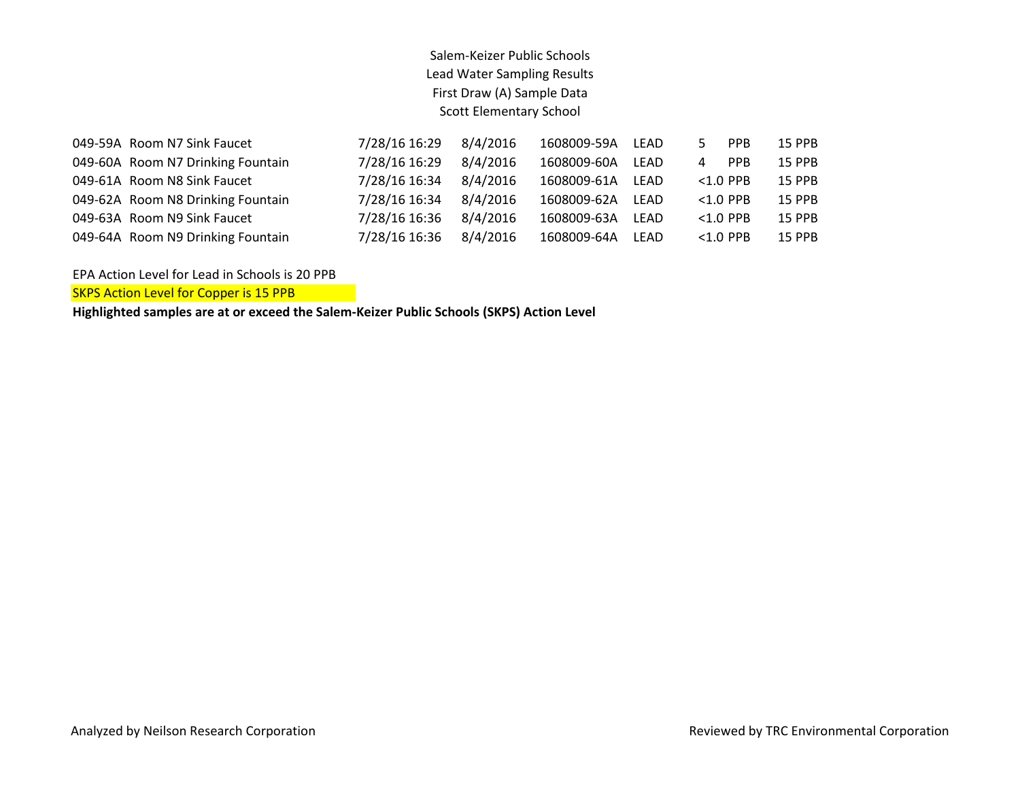| 049-59A Room N7 Sink Faucet       | 7/28/16 16:29 | 8/4/2016 | 1608009-59A | LEAD |              | <b>PPB</b>  | 15 PPB        |
|-----------------------------------|---------------|----------|-------------|------|--------------|-------------|---------------|
| 049-60A Room N7 Drinking Fountain | 7/28/16 16:29 | 8/4/2016 | 1608009-60A | LFAD | $\mathbf{A}$ | <b>PPB</b>  | <b>15 PPB</b> |
| 049-61A Room N8 Sink Faucet       | 7/28/16 16:34 | 8/4/2016 | 1608009-61A | LFAD |              | $< 1.0$ PPB | <b>15 PPB</b> |
| 049-62A Room N8 Drinking Fountain | 7/28/16 16:34 | 8/4/2016 | 1608009-62A | LFAD |              | $< 1.0$ PPB | <b>15 PPB</b> |
| 049-63A Room N9 Sink Faucet       | 7/28/16 16:36 | 8/4/2016 | 1608009-63A | LEAD |              | $< 1.0$ PPB | <b>15 PPB</b> |
| 049-64A Room N9 Drinking Fountain | 7/28/16 16:36 | 8/4/2016 | 1608009-64A | LFAD |              | $< 1.0$ PPB | <b>15 PPB</b> |

EPA Action Level for Lead in Schools is 20 PPB

SKPS Action Level for Copper is 15 PPB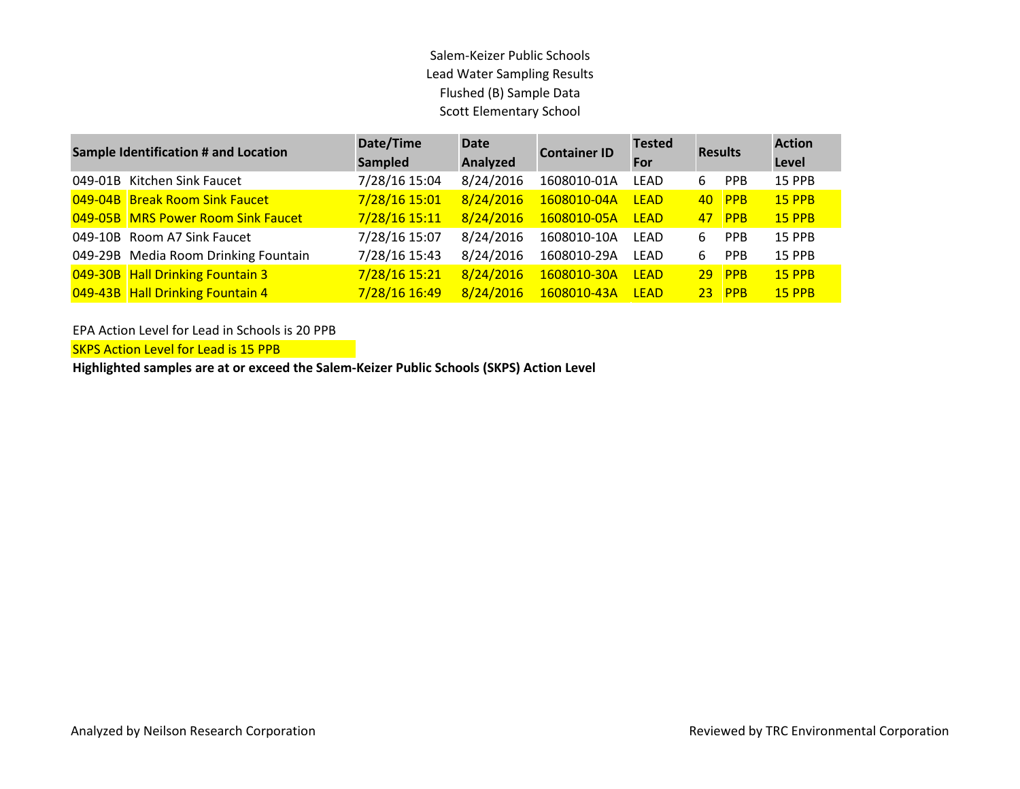| <b>Sample Identification # and Location</b> | Date/Time<br>Sampled | <b>Date</b><br>Analyzed | <b>Container ID</b> | <b>Tested</b><br>For | <b>Results</b>  |            | <b>Action</b><br>Level |
|---------------------------------------------|----------------------|-------------------------|---------------------|----------------------|-----------------|------------|------------------------|
| 049-01B Kitchen Sink Faucet                 | 7/28/16 15:04        | 8/24/2016               | 1608010-01A         | LEAD                 | 6               | <b>PPB</b> | 15 PPB                 |
| 049-04B Break Room Sink Faucet              | 7/28/16 15:01        | 8/24/2016               | 1608010-04A         | <b>LFAD</b>          | 40              | PPB        | <b>15 PPB</b>          |
| 049-05B MRS Power Room Sink Faucet          | 7/28/16 15:11        | 8/24/2016               | 1608010-05A         | <b>LEAD</b>          | 47              | <b>PPB</b> | <b>15 PPB</b>          |
| 049-10B Room A7 Sink Faucet                 | 7/28/16 15:07        | 8/24/2016               | 1608010-10A         | LEAD                 | 6               | PPB        | <b>15 PPB</b>          |
| 049-29B Media Room Drinking Fountain        | 7/28/16 15:43        | 8/24/2016               | 1608010-29A         | LEAD                 | 6               | <b>PPB</b> | 15 PPB                 |
| 049-30B Hall Drinking Fountain 3            | 7/28/16 15:21        | 8/24/2016               | 1608010-30A         | <b>LEAD</b>          | 29 <sup>°</sup> | PPB        | <b>15 PPB</b>          |
| 049-43B Hall Drinking Fountain 4            | 7/28/16 16:49        | 8/24/2016               | 1608010-43A         | <b>LEAD</b>          | 23 <sup>2</sup> | <b>PPB</b> | <b>15 PPB</b>          |

EPA Action Level for Lead in Schools is 20 PPB

SKPS Action Level for Lead is 15 PPB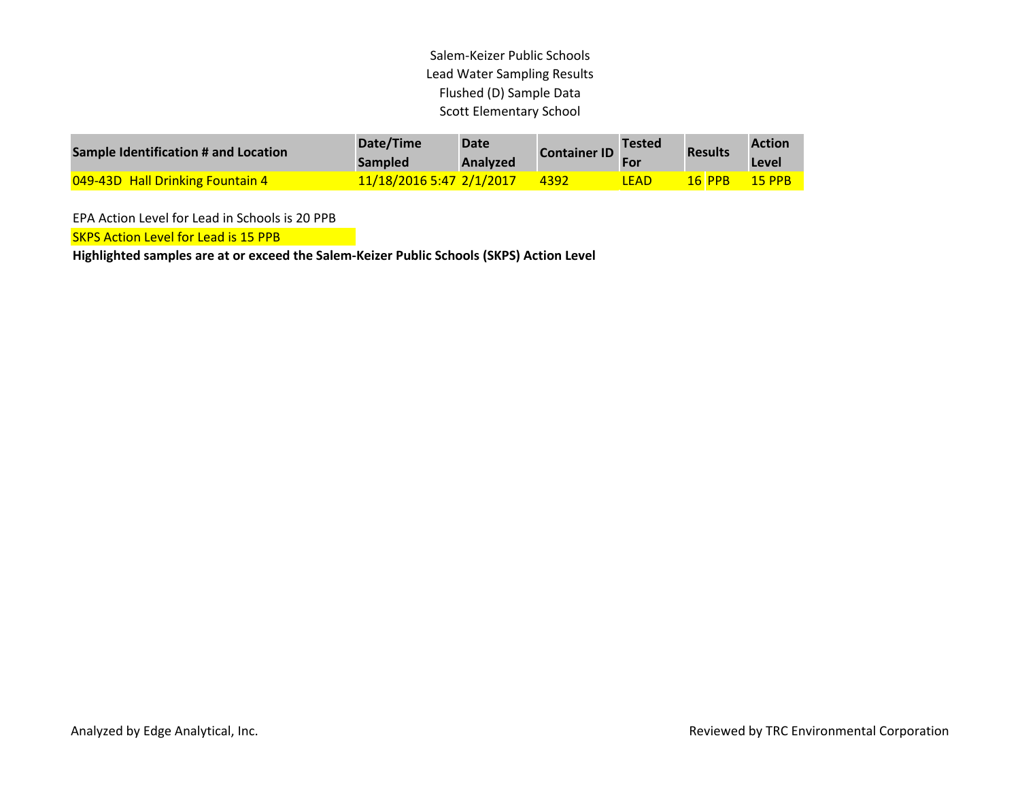| Sample Identification # and Location | Date/Time<br><b>Sampled</b>     | Date<br><b>Analyzed</b> | <b>Container ID</b> | <b>Tested</b> | <b>Results</b> | <b>Action</b><br>Level |
|--------------------------------------|---------------------------------|-------------------------|---------------------|---------------|----------------|------------------------|
| 049-43D Hall Drinking Fountain 4     | <u>11/18/2016 5:47 2/1/2017</u> |                         | 4392                | LEAD          | $16$ PPR       | <b>15 PPB</b>          |

EPA Action Level for Lead in Schools is 20 PPB

**SKPS Action Level for Lead is 15 PPB**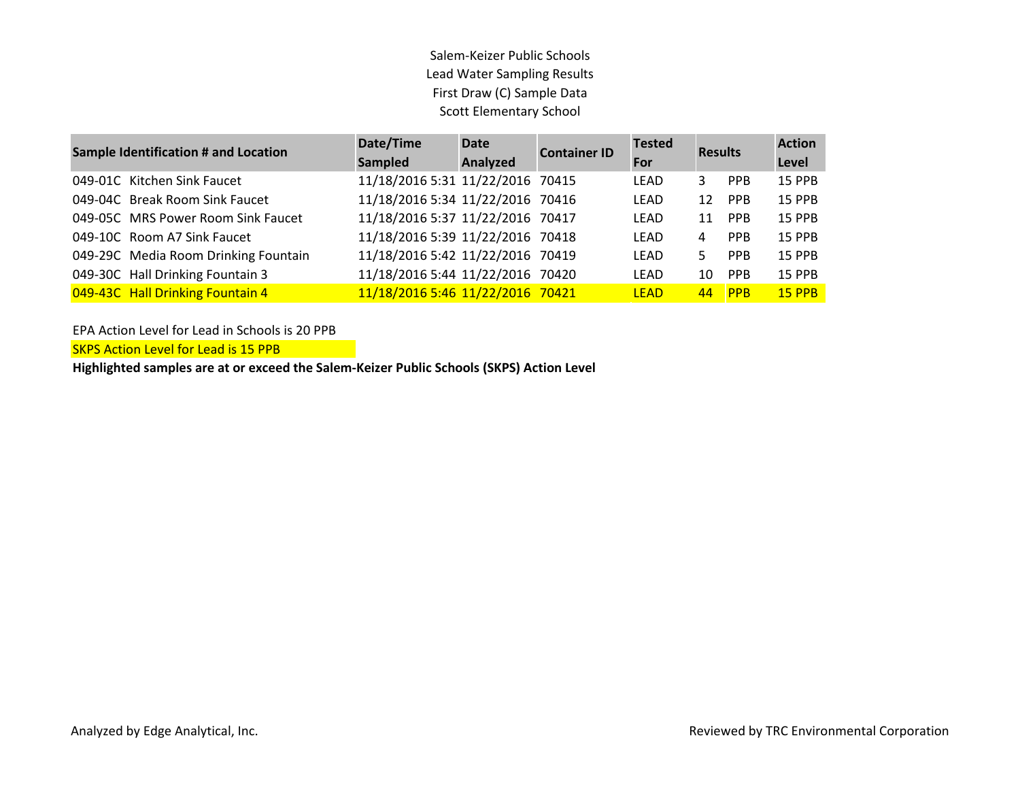| <b>Sample Identification # and Location</b> | Date/Time<br><b>Sampled</b>      | <b>Date</b><br>Analyzed | <b>Container ID</b> | <b>Tested</b><br>For | <b>Results</b> |            | <b>Action</b><br>Level |
|---------------------------------------------|----------------------------------|-------------------------|---------------------|----------------------|----------------|------------|------------------------|
| 049-01C Kitchen Sink Faucet                 | 11/18/2016 5:31 11/22/2016 70415 |                         |                     | LEAD                 | 3.             | <b>PPB</b> |                        |
|                                             |                                  |                         |                     |                      |                |            | 15 PPB                 |
| 049-04C Break Room Sink Faucet              | 11/18/2016 5:34 11/22/2016 70416 |                         |                     | LEAD                 | 12             | <b>PPB</b> | 15 PPB                 |
| 049-05C MRS Power Room Sink Faucet          | 11/18/2016 5:37 11/22/2016 70417 |                         |                     | <b>LEAD</b>          | 11             | <b>PPB</b> | 15 PPB                 |
| 049-10C Room A7 Sink Faucet                 | 11/18/2016 5:39 11/22/2016 70418 |                         |                     | LFAD                 | 4              | <b>PPB</b> | 15 PPB                 |
| 049-29C Media Room Drinking Fountain        | 11/18/2016 5:42 11/22/2016 70419 |                         |                     | LFAD                 | 5.             | <b>PPB</b> | <b>15 PPB</b>          |
| 049-30C Hall Drinking Fountain 3            | 11/18/2016 5:44 11/22/2016 70420 |                         |                     | <b>LEAD</b>          | 10             | <b>PPB</b> | 15 PPB                 |
| 049-43C Hall Drinking Fountain 4            | 11/18/2016 5:46 11/22/2016 70421 |                         |                     | <b>LEAD</b>          | 44             | PPB        | <b>15 PPB</b>          |

EPA Action Level for Lead in Schools is 20 PPB

SKPS Action Level for Lead is 15 PPB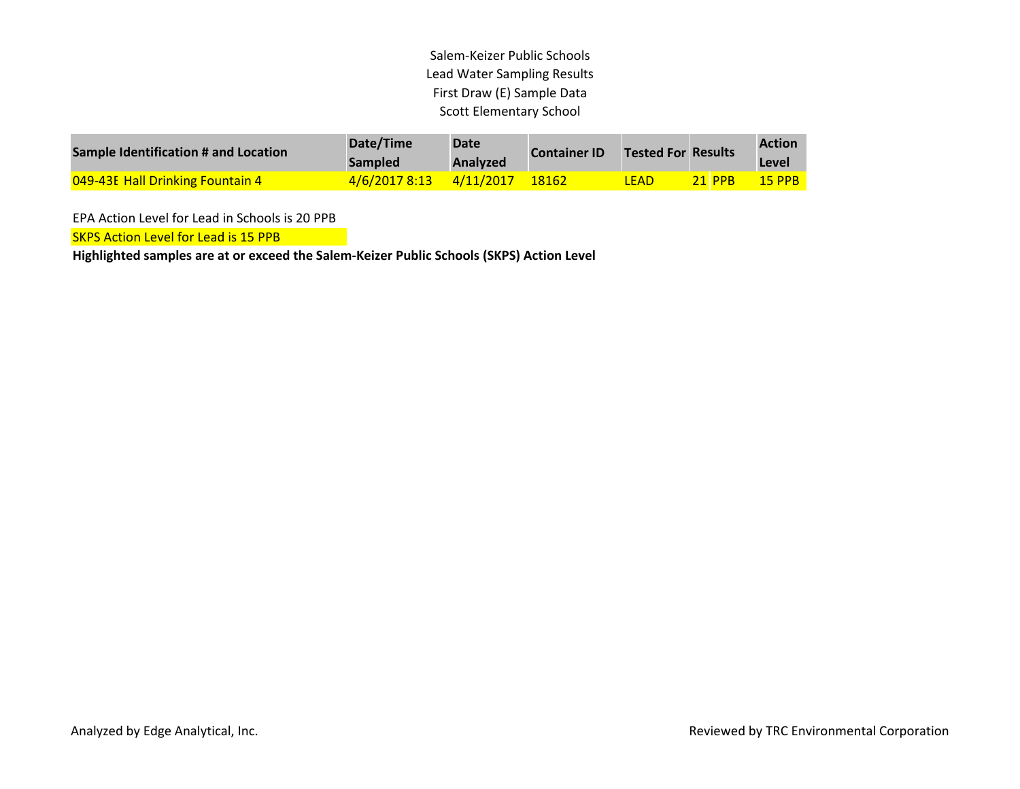| <b>Sample Identification # and Location</b> | Date/Time<br><b>Sampled</b> | <b>Date</b><br><b>Analyzed</b> | <b>Container ID</b> | <b>Tested For Results</b> |               | <b>Action</b><br>Level |
|---------------------------------------------|-----------------------------|--------------------------------|---------------------|---------------------------|---------------|------------------------|
| <b>049-43E Hall Drinking Fountain 4</b>     | 4/6/2017 8:13 4/11/2017     |                                | 18162               | LEAD                      | <b>21 PPB</b> | <b>15 PPB</b>          |

EPA Action Level for Lead in Schools is 20 PPB

**SKPS Action Level for Lead is 15 PPB**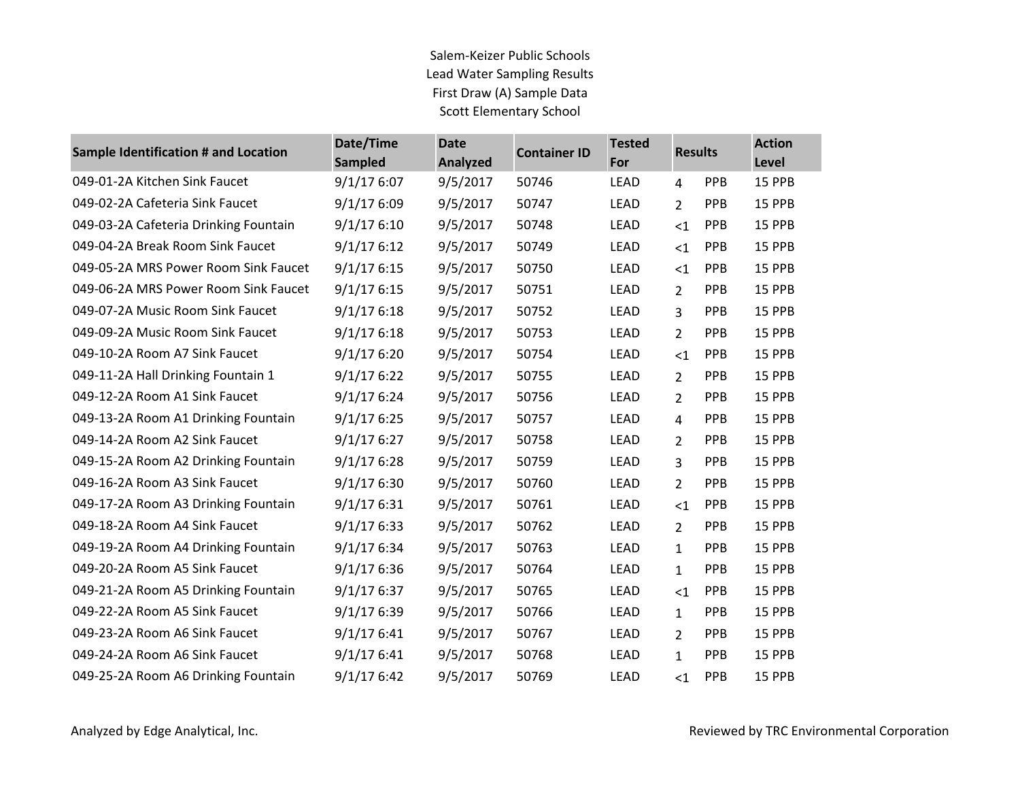| <b>Sample Identification # and Location</b> | Date/Time<br><b>Sampled</b> | <b>Date</b><br><b>Analyzed</b> | <b>Container ID</b> | <b>Tested</b><br>For | <b>Results</b> |            | <b>Action</b><br>Level |
|---------------------------------------------|-----------------------------|--------------------------------|---------------------|----------------------|----------------|------------|------------------------|
| 049-01-2A Kitchen Sink Faucet               | 9/1/176:07                  | 9/5/2017                       | 50746               | <b>LEAD</b>          | $\overline{4}$ | <b>PPB</b> | 15 PPB                 |
| 049-02-2A Cafeteria Sink Faucet             | 9/1/176:09                  | 9/5/2017                       | 50747               | LEAD                 | $\overline{2}$ | <b>PPB</b> | 15 PPB                 |
| 049-03-2A Cafeteria Drinking Fountain       | 9/1/176:10                  | 9/5/2017                       | 50748               | LEAD                 | $<$ 1          | PPB        | 15 PPB                 |
| 049-04-2A Break Room Sink Faucet            | 9/1/176:12                  | 9/5/2017                       | 50749               | LEAD                 | $<$ 1          | <b>PPB</b> | 15 PPB                 |
| 049-05-2A MRS Power Room Sink Faucet        | 9/1/176:15                  | 9/5/2017                       | 50750               | LEAD                 | $<$ 1          | PPB        | 15 PPB                 |
| 049-06-2A MRS Power Room Sink Faucet        | 9/1/176:15                  | 9/5/2017                       | 50751               | <b>LEAD</b>          | $\overline{2}$ | PPB        | 15 PPB                 |
| 049-07-2A Music Room Sink Faucet            | 9/1/176:18                  | 9/5/2017                       | 50752               | LEAD                 | 3              | <b>PPB</b> | 15 PPB                 |
| 049-09-2A Music Room Sink Faucet            | 9/1/176:18                  | 9/5/2017                       | 50753               | LEAD                 | $\overline{2}$ | <b>PPB</b> | 15 PPB                 |
| 049-10-2A Room A7 Sink Faucet               | 9/1/176:20                  | 9/5/2017                       | 50754               | <b>LEAD</b>          | $\leq$ 1       | <b>PPB</b> | 15 PPB                 |
| 049-11-2A Hall Drinking Fountain 1          | 9/1/176:22                  | 9/5/2017                       | 50755               | <b>LEAD</b>          | $\overline{2}$ | <b>PPB</b> | 15 PPB                 |
| 049-12-2A Room A1 Sink Faucet               | 9/1/176:24                  | 9/5/2017                       | 50756               | <b>LEAD</b>          | $\overline{2}$ | PPB        | 15 PPB                 |
| 049-13-2A Room A1 Drinking Fountain         | 9/1/176:25                  | 9/5/2017                       | 50757               | <b>LEAD</b>          | $\overline{4}$ | <b>PPB</b> | 15 PPB                 |
| 049-14-2A Room A2 Sink Faucet               | 9/1/176:27                  | 9/5/2017                       | 50758               | <b>LEAD</b>          | $\overline{2}$ | <b>PPB</b> | 15 PPB                 |
| 049-15-2A Room A2 Drinking Fountain         | 9/1/176:28                  | 9/5/2017                       | 50759               | LEAD                 | 3              | <b>PPB</b> | 15 PPB                 |
| 049-16-2A Room A3 Sink Faucet               | 9/1/176:30                  | 9/5/2017                       | 50760               | LEAD                 | $\overline{2}$ | <b>PPB</b> | 15 PPB                 |
| 049-17-2A Room A3 Drinking Fountain         | 9/1/176:31                  | 9/5/2017                       | 50761               | <b>LEAD</b>          | $<$ 1          | PPB        | 15 PPB                 |
| 049-18-2A Room A4 Sink Faucet               | 9/1/176:33                  | 9/5/2017                       | 50762               | <b>LEAD</b>          | $\overline{2}$ | PPB        | 15 PPB                 |
| 049-19-2A Room A4 Drinking Fountain         | 9/1/176:34                  | 9/5/2017                       | 50763               | LEAD                 | $\mathbf{1}$   | <b>PPB</b> | 15 PPB                 |
| 049-20-2A Room A5 Sink Faucet               | 9/1/176:36                  | 9/5/2017                       | 50764               | <b>LEAD</b>          | $\mathbf{1}$   | <b>PPB</b> | 15 PPB                 |
| 049-21-2A Room A5 Drinking Fountain         | 9/1/176:37                  | 9/5/2017                       | 50765               | LEAD                 | $\leq$ 1       | <b>PPB</b> | 15 PPB                 |
| 049-22-2A Room A5 Sink Faucet               | 9/1/176:39                  | 9/5/2017                       | 50766               | <b>LEAD</b>          | $\mathbf{1}$   | <b>PPB</b> | 15 PPB                 |
| 049-23-2A Room A6 Sink Faucet               | 9/1/176:41                  | 9/5/2017                       | 50767               | <b>LEAD</b>          | $\overline{2}$ | <b>PPB</b> | 15 PPB                 |
| 049-24-2A Room A6 Sink Faucet               | 9/1/176:41                  | 9/5/2017                       | 50768               | <b>LEAD</b>          | $\mathbf{1}$   | <b>PPB</b> | 15 PPB                 |
| 049-25-2A Room A6 Drinking Fountain         | 9/1/176:42                  | 9/5/2017                       | 50769               | LEAD                 | $<$ 1          | PPB        | 15 PPB                 |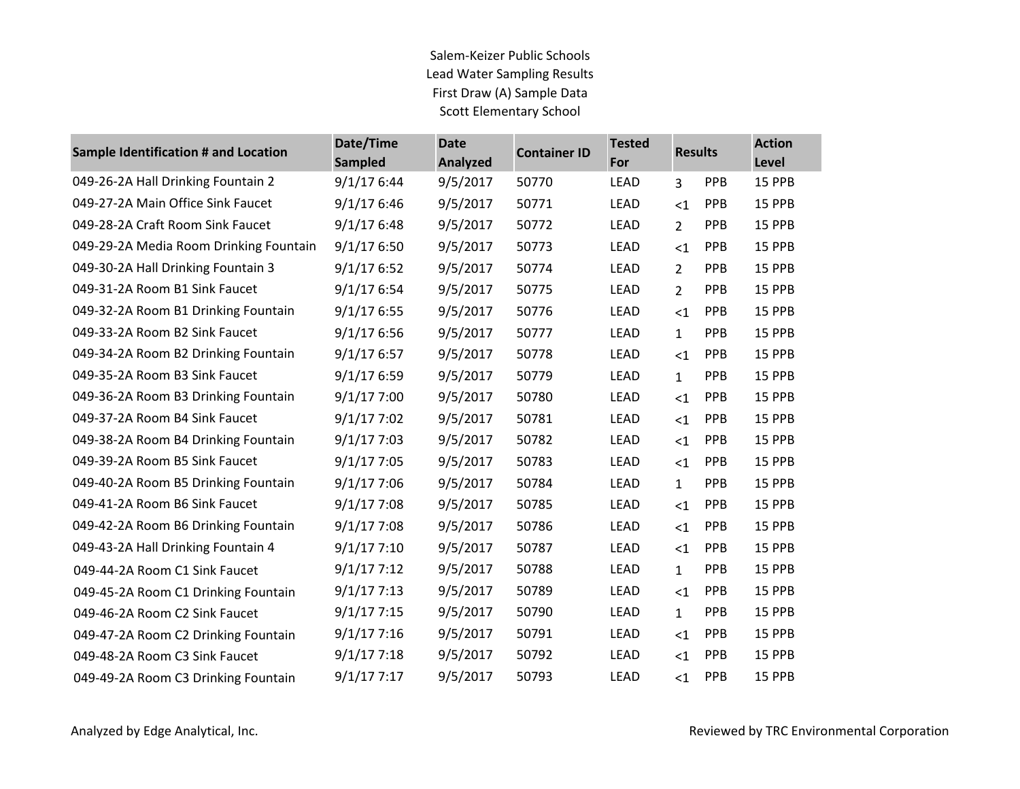| <b>Sample Identification # and Location</b> | Date/Time<br><b>Sampled</b> | <b>Date</b><br><b>Analyzed</b> | <b>Container ID</b> | <b>Tested</b><br>For | <b>Results</b> |            | <b>Action</b><br>Level |
|---------------------------------------------|-----------------------------|--------------------------------|---------------------|----------------------|----------------|------------|------------------------|
| 049-26-2A Hall Drinking Fountain 2          | 9/1/176:44                  | 9/5/2017                       | 50770               | <b>LEAD</b>          | 3              | PPB        | 15 PPB                 |
| 049-27-2A Main Office Sink Faucet           | 9/1/176:46                  | 9/5/2017                       | 50771               | LEAD                 | $<$ 1          | <b>PPB</b> | 15 PPB                 |
| 049-28-2A Craft Room Sink Faucet            | 9/1/176:48                  | 9/5/2017                       | 50772               | <b>LEAD</b>          | $\overline{2}$ | PPB        | 15 PPB                 |
| 049-29-2A Media Room Drinking Fountain      | 9/1/176:50                  | 9/5/2017                       | 50773               | <b>LEAD</b>          | <1             | <b>PPB</b> | 15 PPB                 |
| 049-30-2A Hall Drinking Fountain 3          | 9/1/176:52                  | 9/5/2017                       | 50774               | LEAD                 | $\overline{2}$ | <b>PPB</b> | 15 PPB                 |
| 049-31-2A Room B1 Sink Faucet               | 9/1/176:54                  | 9/5/2017                       | 50775               | LEAD                 | $\overline{2}$ | <b>PPB</b> | 15 PPB                 |
| 049-32-2A Room B1 Drinking Fountain         | 9/1/176:55                  | 9/5/2017                       | 50776               | LEAD                 | $<$ 1          | <b>PPB</b> | 15 PPB                 |
| 049-33-2A Room B2 Sink Faucet               | 9/1/176:56                  | 9/5/2017                       | 50777               | <b>LEAD</b>          | $\mathbf{1}$   | <b>PPB</b> | 15 PPB                 |
| 049-34-2A Room B2 Drinking Fountain         | 9/1/176:57                  | 9/5/2017                       | 50778               | LEAD                 | $<$ 1          | <b>PPB</b> | 15 PPB                 |
| 049-35-2A Room B3 Sink Faucet               | 9/1/176:59                  | 9/5/2017                       | 50779               | <b>LEAD</b>          | $\mathbf{1}$   | <b>PPB</b> | 15 PPB                 |
| 049-36-2A Room B3 Drinking Fountain         | 9/1/177:00                  | 9/5/2017                       | 50780               | LEAD                 | $<$ 1          | <b>PPB</b> | 15 PPB                 |
| 049-37-2A Room B4 Sink Faucet               | 9/1/177:02                  | 9/5/2017                       | 50781               | LEAD                 | $<$ 1          | <b>PPB</b> | 15 PPB                 |
| 049-38-2A Room B4 Drinking Fountain         | 9/1/177:03                  | 9/5/2017                       | 50782               | LEAD                 | $<$ 1          | <b>PPB</b> | 15 PPB                 |
| 049-39-2A Room B5 Sink Faucet               | 9/1/177:05                  | 9/5/2017                       | 50783               | <b>LEAD</b>          | $<$ 1          | <b>PPB</b> | 15 PPB                 |
| 049-40-2A Room B5 Drinking Fountain         | 9/1/177:06                  | 9/5/2017                       | 50784               | <b>LEAD</b>          | $\mathbf{1}$   | <b>PPB</b> | 15 PPB                 |
| 049-41-2A Room B6 Sink Faucet               | 9/1/177:08                  | 9/5/2017                       | 50785               | LEAD                 | $\leq$ 1       | <b>PPB</b> | 15 PPB                 |
| 049-42-2A Room B6 Drinking Fountain         | 9/1/177:08                  | 9/5/2017                       | 50786               | LEAD                 | $\leq$ 1       | PPB        | 15 PPB                 |
| 049-43-2A Hall Drinking Fountain 4          | 9/1/177:10                  | 9/5/2017                       | 50787               | LEAD                 | $\leq$ 1       | <b>PPB</b> | 15 PPB                 |
| 049-44-2A Room C1 Sink Faucet               | 9/1/177:12                  | 9/5/2017                       | 50788               | <b>LEAD</b>          | $\mathbf{1}$   | <b>PPB</b> | 15 PPB                 |
| 049-45-2A Room C1 Drinking Fountain         | 9/1/177:13                  | 9/5/2017                       | 50789               | LEAD                 | $<$ 1          | <b>PPB</b> | 15 PPB                 |
| 049-46-2A Room C2 Sink Faucet               | 9/1/177:15                  | 9/5/2017                       | 50790               | <b>LEAD</b>          | $\mathbf{1}$   | <b>PPB</b> | 15 PPB                 |
| 049-47-2A Room C2 Drinking Fountain         | 9/1/177:16                  | 9/5/2017                       | 50791               | LEAD                 | $<$ 1          | <b>PPB</b> | 15 PPB                 |
| 049-48-2A Room C3 Sink Faucet               | 9/1/177:18                  | 9/5/2017                       | 50792               | LEAD                 | $<$ 1          | <b>PPB</b> | 15 PPB                 |
| 049-49-2A Room C3 Drinking Fountain         | 9/1/177:17                  | 9/5/2017                       | 50793               | LEAD                 | $<$ 1          | <b>PPB</b> | 15 PPB                 |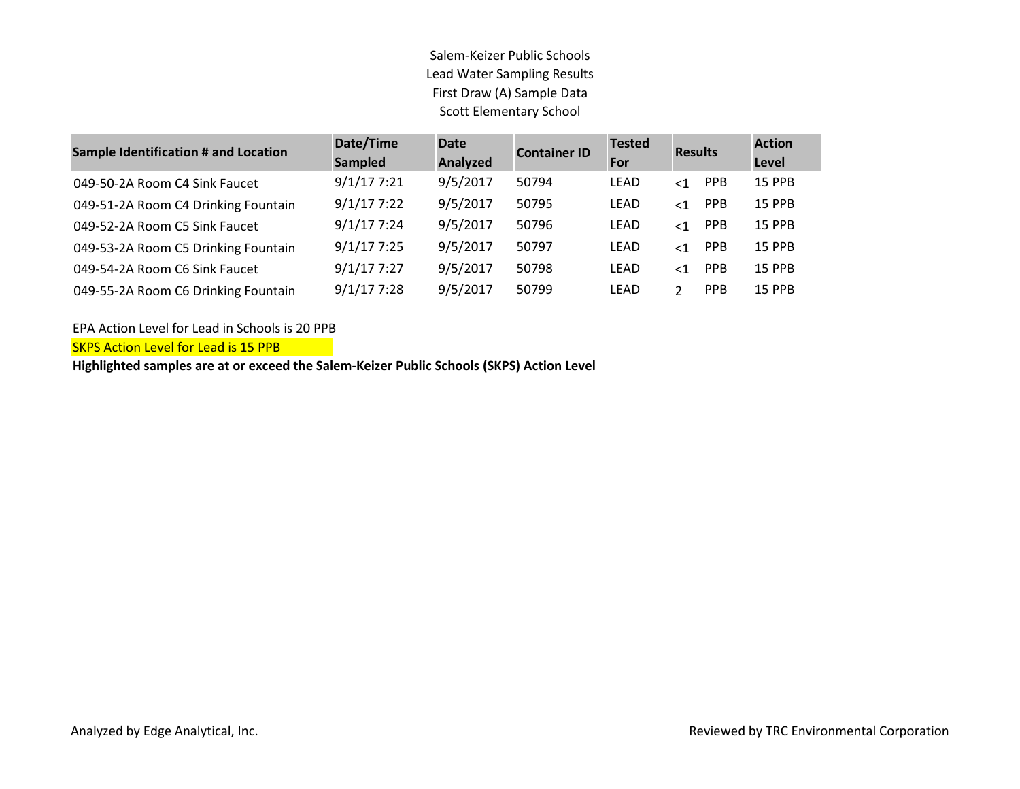| <b>Sample Identification # and Location</b> | Date/Time<br><b>Sampled</b> | <b>Date</b><br>Analyzed | <b>Container ID</b> | <b>Tested</b><br>For | <b>Results</b>         | <b>Action</b><br>Level |
|---------------------------------------------|-----------------------------|-------------------------|---------------------|----------------------|------------------------|------------------------|
| 049-50-2A Room C4 Sink Faucet               | 9/1/177:21                  | 9/5/2017                | 50794               | LEAD                 | <b>PPB</b><br>$\leq$ 1 | <b>15 PPB</b>          |
| 049-51-2A Room C4 Drinking Fountain         | 9/1/177:22                  | 9/5/2017                | 50795               | LEAD                 | <b>PPB</b><br>$\leq$ 1 | <b>15 PPB</b>          |
| 049-52-2A Room C5 Sink Faucet               | 9/1/177:24                  | 9/5/2017                | 50796               | LEAD                 | PPB<br>$\leq$ 1        | <b>15 PPB</b>          |
| 049-53-2A Room C5 Drinking Fountain         | 9/1/177:25                  | 9/5/2017                | 50797               | LEAD                 | <b>PPB</b><br>$\leq$ 1 | <b>15 PPB</b>          |
| 049-54-2A Room C6 Sink Faucet               | 9/1/177:27                  | 9/5/2017                | 50798               | LEAD                 | <b>PPB</b><br>$\leq$ 1 | <b>15 PPB</b>          |
| 049-55-2A Room C6 Drinking Fountain         | 9/1/177:28                  | 9/5/2017                | 50799               | LEAD                 | <b>PPB</b><br>ำ        | <b>15 PPB</b>          |

EPA Action Level for Lead in Schools is 20 PPB

SKPS Action Level for Lead is 15 PPB